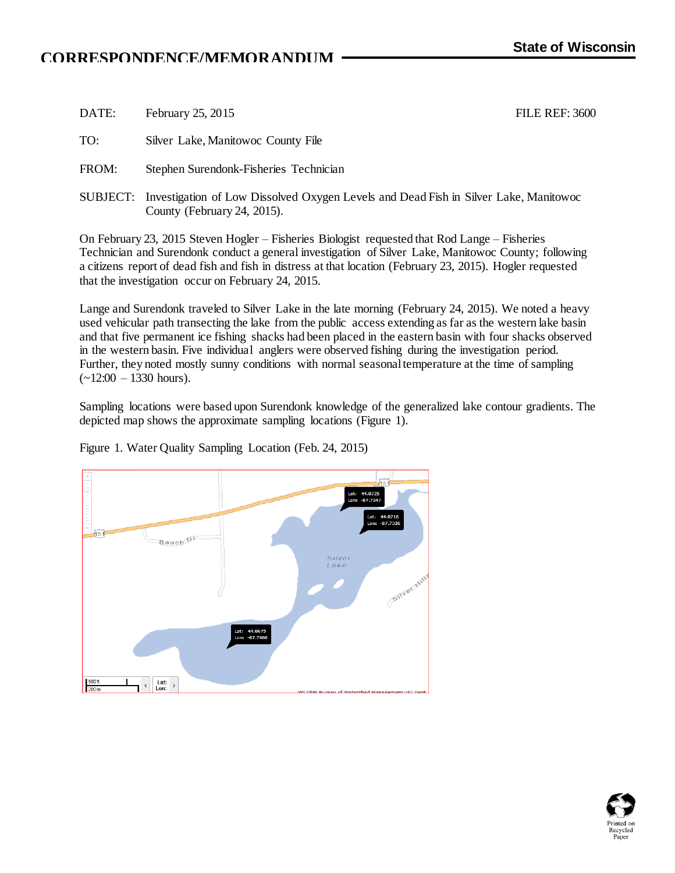## **CORRESPONDENCE/MEMORANDUM**

| DATE: | February 25, 2015                                                                                                            | <b>FILE REF: 3600</b> |
|-------|------------------------------------------------------------------------------------------------------------------------------|-----------------------|
| TO:   | Silver Lake, Manitowoc County File                                                                                           |                       |
| FROM: | Stephen Surendonk-Fisheries Technician                                                                                       |                       |
|       | SUBJECT: Investigation of Low Dissolved Oxygen Levels and Dead Fish in Silver Lake, Manitowoc<br>County (February 24, 2015). |                       |

On February 23, 2015 Steven Hogler – Fisheries Biologist requested that Rod Lange – Fisheries Technician and Surendonk conduct a general investigation of Silver Lake, Manitowoc County; following a citizens report of dead fish and fish in distress at that location (February 23, 2015). Hogler requested that the investigation occur on February 24, 2015.

Lange and Surendonk traveled to Silver Lake in the late morning (February 24, 2015). We noted a heavy used vehicular path transecting the lake from the public access extending as far as the western lake basin and that five permanent ice fishing shacks had been placed in the eastern basin with four shacks observed in the western basin. Five individual anglers were observed fishing during the investigation period. Further, they noted mostly sunny conditions with normal seasonal temperature at the time of sampling  $(-12:00 - 1330$  hours).

Sampling locations were based upon Surendonk knowledge of the generalized lake contour gradients. The depicted map shows the approximate sampling locations (Figure 1).



Figure 1. Water Quality Sampling Location (Feb. 24, 2015)

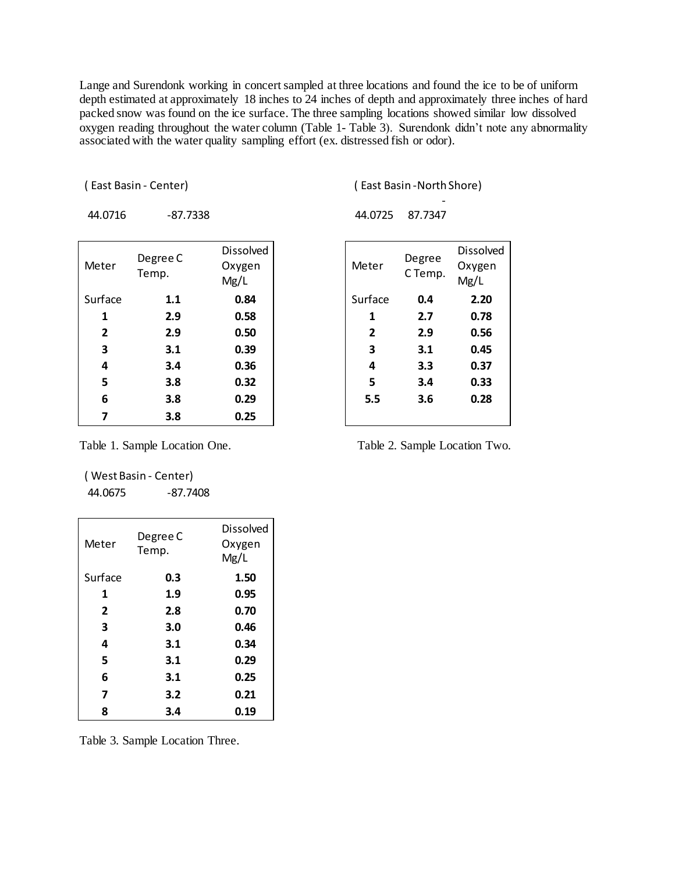Lange and Surendonk working in concert sampled at three locations and found the ice to be of uniform depth estimated at approximately 18 inches to 24 inches of depth and approximately three inches of hard packed snow was found on the ice surface. The three sampling locations showed similar low dissolved oxygen reading throughout the water column (Table 1- Table 3). Surendonk didn't note any abnormality associated with the water quality sampling effort (ex. distressed fish or odor).

( East Basin - Center) ( East Basin -North Shore)

-

| 44.0716 | -87.7338 | 44.0725 |
|---------|----------|---------|
|---------|----------|---------|

| 44.0725 | 87.7347 |
|---------|---------|
|         |         |

| Meter   | Degree C<br>Temp. | <b>Dissolved</b><br>Oxygen<br>Mg/L | Meter        | Degree<br>C Temp. | Dissolv<br>Oxyger<br>Mg/L |
|---------|-------------------|------------------------------------|--------------|-------------------|---------------------------|
| Surface | 1.1               | 0.84                               | Surface      | 0.4               | 2.20                      |
| 1       | 2.9               | 0.58                               | 1            | 2.7               | 0.78                      |
| 2       | 2.9               | 0.50                               | $\mathbf{2}$ | 2.9               | 0.56                      |
| 3       | 3.1               | 0.39                               | 3            | 3.1               | 0.45                      |
| 4       | 3.4               | 0.36                               | 4            | 3.3               | 0.37                      |
| 5       | 3.8               | 0.32                               | 5            | 3.4               | 0.33                      |
| 6       | 3.8               | 0.29                               | 5.5          | 3.6               | 0.28                      |
| 7       | 3.8               | 0.25                               |              |                   |                           |
|         |                   |                                    |              |                   |                           |

| Meter   | Degree<br>C Temp. | Dissolved<br>Oxygen<br>Mg/L |
|---------|-------------------|-----------------------------|
| Surface | 0.4               | 2.20                        |
| 1       | 2.7               | 0.78                        |
| 2       | 2.9               | 0.56                        |
| 3       | 3.1               | 0.45                        |
| 4       | 3.3               | 0.37                        |
| 5       | 3.4               | 0.33                        |
| 5.5     | 3.6               | 0.28                        |
|         |                   |                             |

( West Basin - Center) 44.0675 -87.7408

| Meter          | Degree C<br>Temp. | <b>Dissolved</b><br>Oxygen<br>Mg/L |
|----------------|-------------------|------------------------------------|
| Surface        | 0.3               | 1.50                               |
| 1              | 1.9               | 0.95                               |
| $\overline{2}$ | 2.8               | 0.70                               |
| 3              | 3.0               | 0.46                               |
| 4              | 3.1               | 0.34                               |
| 5              | 3.1               | 0.29                               |
| 6              | 3.1               | 0.25                               |
| 7              | 3.2               | 0.21                               |
| 8              | 3.4               | 0.19                               |

Table 3. Sample Location Three.

Table 1. Sample Location One. Table 2. Sample Location Two.